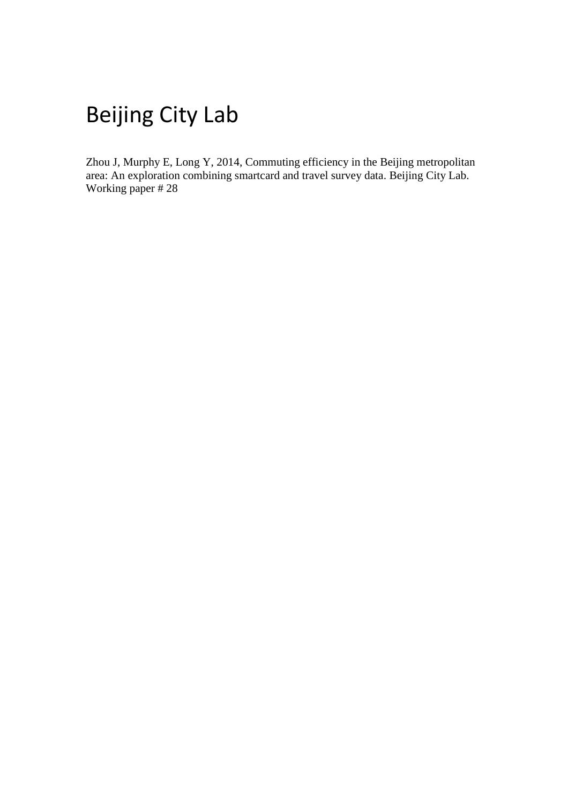# Beijing City Lab

Zhou J, Murphy E, Long Y, 2014, Commuting efficiency in the Beijing metropolitan area: An exploration combining smartcard and travel survey data. Beijing City Lab. Working paper # 28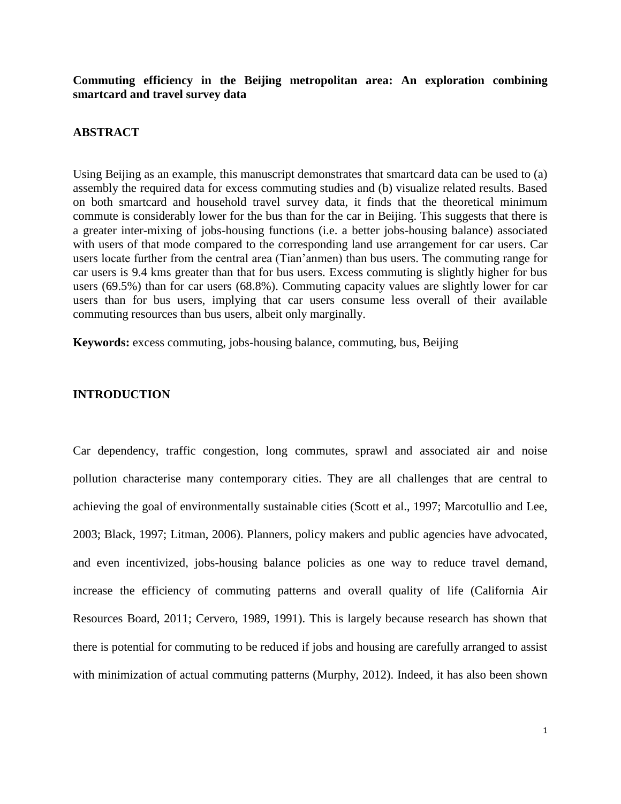**Commuting efficiency in the Beijing metropolitan area: An exploration combining smartcard and travel survey data**

# **ABSTRACT**

Using Beijing as an example, this manuscript demonstrates that smartcard data can be used to (a) assembly the required data for excess commuting studies and (b) visualize related results. Based on both smartcard and household travel survey data, it finds that the theoretical minimum commute is considerably lower for the bus than for the car in Beijing. This suggests that there is a greater inter-mixing of jobs-housing functions (i.e. a better jobs-housing balance) associated with users of that mode compared to the corresponding land use arrangement for car users. Car users locate further from the central area (Tian'anmen) than bus users. The commuting range for car users is 9.4 kms greater than that for bus users. Excess commuting is slightly higher for bus users (69.5%) than for car users (68.8%). Commuting capacity values are slightly lower for car users than for bus users, implying that car users consume less overall of their available commuting resources than bus users, albeit only marginally.

**Keywords:** excess commuting, jobs-housing balance, commuting, bus, Beijing

# **INTRODUCTION**

Car dependency, traffic congestion, long commutes, sprawl and associated air and noise pollution characterise many contemporary cities. They are all challenges that are central to achieving the goal of environmentally sustainable cities (Scott et al., 1997; Marcotullio and Lee, 2003; Black, 1997; Litman, 2006). Planners, policy makers and public agencies have advocated, and even incentivized, jobs-housing balance policies as one way to reduce travel demand, increase the efficiency of commuting patterns and overall quality of life (California Air Resources Board, 2011; Cervero, 1989, 1991). This is largely because research has shown that there is potential for commuting to be reduced if jobs and housing are carefully arranged to assist with minimization of actual commuting patterns (Murphy, 2012). Indeed, it has also been shown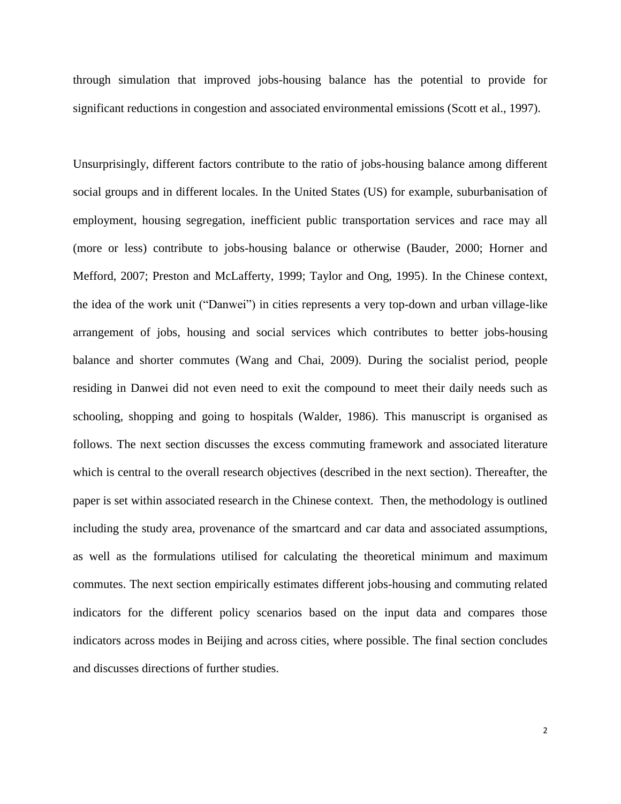through simulation that improved jobs-housing balance has the potential to provide for significant reductions in congestion and associated environmental emissions (Scott et al., 1997).

Unsurprisingly, different factors contribute to the ratio of jobs-housing balance among different social groups and in different locales. In the United States (US) for example, suburbanisation of employment, housing segregation, inefficient public transportation services and race may all (more or less) contribute to jobs-housing balance or otherwise (Bauder, 2000; Horner and Mefford, 2007; Preston and McLafferty, 1999; Taylor and Ong, 1995). In the Chinese context, the idea of the work unit ("Danwei") in cities represents a very top-down and urban village-like arrangement of jobs, housing and social services which contributes to better jobs-housing balance and shorter commutes (Wang and Chai, 2009). During the socialist period, people residing in Danwei did not even need to exit the compound to meet their daily needs such as schooling, shopping and going to hospitals (Walder, 1986). This manuscript is organised as follows. The next section discusses the excess commuting framework and associated literature which is central to the overall research objectives (described in the next section). Thereafter, the paper is set within associated research in the Chinese context. Then, the methodology is outlined including the study area, provenance of the smartcard and car data and associated assumptions, as well as the formulations utilised for calculating the theoretical minimum and maximum commutes. The next section empirically estimates different jobs-housing and commuting related indicators for the different policy scenarios based on the input data and compares those indicators across modes in Beijing and across cities, where possible. The final section concludes and discusses directions of further studies.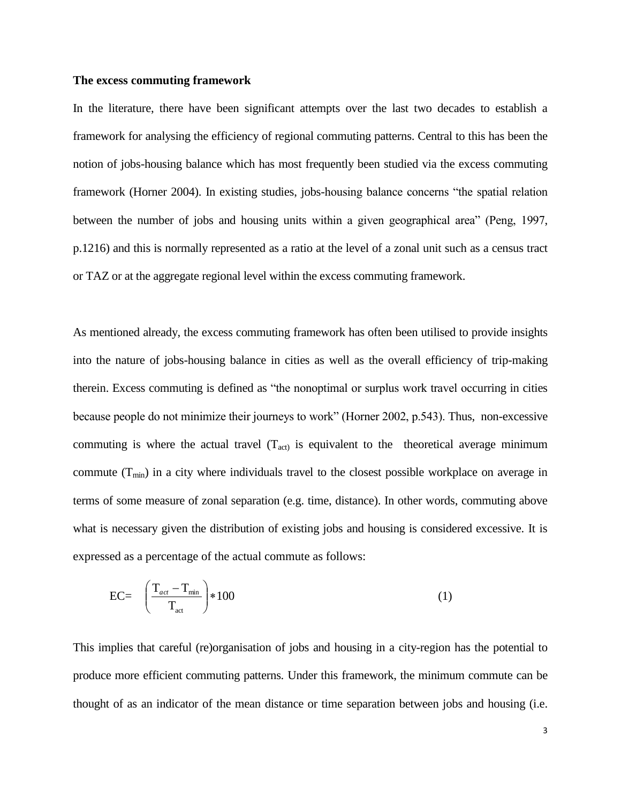## **The excess commuting framework**

In the literature, there have been significant attempts over the last two decades to establish a framework for analysing the efficiency of regional commuting patterns. Central to this has been the notion of jobs-housing balance which has most frequently been studied via the excess commuting framework (Horner 2004). In existing studies, jobs-housing balance concerns "the spatial relation between the number of jobs and housing units within a given geographical area" (Peng, 1997, p.1216) and this is normally represented as a ratio at the level of a zonal unit such as a census tract or TAZ or at the aggregate regional level within the excess commuting framework.

As mentioned already, the excess commuting framework has often been utilised to provide insights into the nature of jobs-housing balance in cities as well as the overall efficiency of trip-making therein. Excess commuting is defined as "the nonoptimal or surplus work travel occurring in cities because people do not minimize their journeys to work" (Horner 2002, p.543). Thus, non-excessive commuting is where the actual travel  $(T_{act})$  is equivalent to the theoretical average minimum commute  $(T_{min})$  in a city where individuals travel to the closest possible workplace on average in terms of some measure of zonal separation (e.g. time, distance). In other words, commuting above what is necessary given the distribution of existing jobs and housing is considered excessive. It is expressed as a percentage of the actual commute as follows:

$$
EC = \left(\frac{T_{act} - T_{min}}{T_{act}}\right) * 100\tag{1}
$$

This implies that careful (re)organisation of jobs and housing in a city-region has the potential to produce more efficient commuting patterns. Under this framework, the minimum commute can be thought of as an indicator of the mean distance or time separation between jobs and housing (i.e.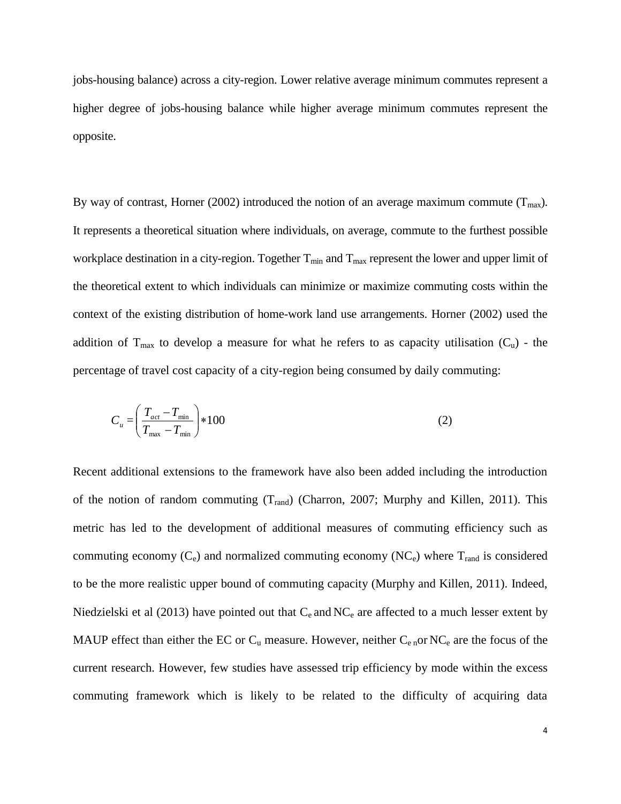jobs-housing balance) across a city-region. Lower relative average minimum commutes represent a higher degree of jobs-housing balance while higher average minimum commutes represent the opposite.

By way of contrast, Horner (2002) introduced the notion of an average maximum commute ( $T_{\text{max}}$ ). It represents a theoretical situation where individuals, on average, commute to the furthest possible workplace destination in a city-region. Together  $T_{min}$  and  $T_{max}$  represent the lower and upper limit of the theoretical extent to which individuals can minimize or maximize commuting costs within the context of the existing distribution of home-work land use arrangements. Horner (2002) used the addition of  $T_{\text{max}}$  to develop a measure for what he refers to as capacity utilisation ( $C_u$ ) - the percentage of travel cost capacity of a city-region being consumed by daily commuting:

$$
C_u = \left(\frac{T_{act} - T_{min}}{T_{max} - T_{min}}\right) * 100\tag{2}
$$

Recent additional extensions to the framework have also been added including the introduction of the notion of random commuting  $(T_{rand})$  (Charron, 2007; Murphy and Killen, 2011). This metric has led to the development of additional measures of commuting efficiency such as commuting economy  $(C_e)$  and normalized commuting economy  $(NC_e)$  where  $T_{rand}$  is considered to be the more realistic upper bound of commuting capacity (Murphy and Killen, 2011). Indeed, Niedzielski et al (2013) have pointed out that  $C_e$  and  $NC_e$  are affected to a much lesser extent by MAUP effect than either the EC or  $C_u$  measure. However, neither  $C_{e}$  or NC<sub>e</sub> are the focus of the current research. However, few studies have assessed trip efficiency by mode within the excess commuting framework which is likely to be related to the difficulty of acquiring data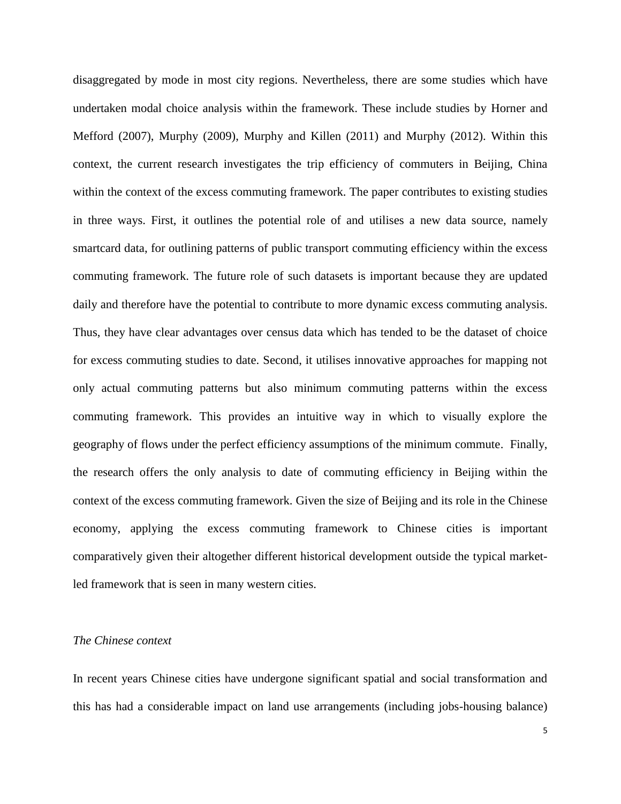disaggregated by mode in most city regions. Nevertheless, there are some studies which have undertaken modal choice analysis within the framework. These include studies by Horner and Mefford (2007), Murphy (2009), Murphy and Killen (2011) and Murphy (2012). Within this context, the current research investigates the trip efficiency of commuters in Beijing, China within the context of the excess commuting framework. The paper contributes to existing studies in three ways. First, it outlines the potential role of and utilises a new data source, namely smartcard data, for outlining patterns of public transport commuting efficiency within the excess commuting framework. The future role of such datasets is important because they are updated daily and therefore have the potential to contribute to more dynamic excess commuting analysis. Thus, they have clear advantages over census data which has tended to be the dataset of choice for excess commuting studies to date. Second, it utilises innovative approaches for mapping not only actual commuting patterns but also minimum commuting patterns within the excess commuting framework. This provides an intuitive way in which to visually explore the geography of flows under the perfect efficiency assumptions of the minimum commute. Finally, the research offers the only analysis to date of commuting efficiency in Beijing within the context of the excess commuting framework. Given the size of Beijing and its role in the Chinese economy, applying the excess commuting framework to Chinese cities is important comparatively given their altogether different historical development outside the typical marketled framework that is seen in many western cities.

#### *The Chinese context*

In recent years Chinese cities have undergone significant spatial and social transformation and this has had a considerable impact on land use arrangements (including jobs-housing balance)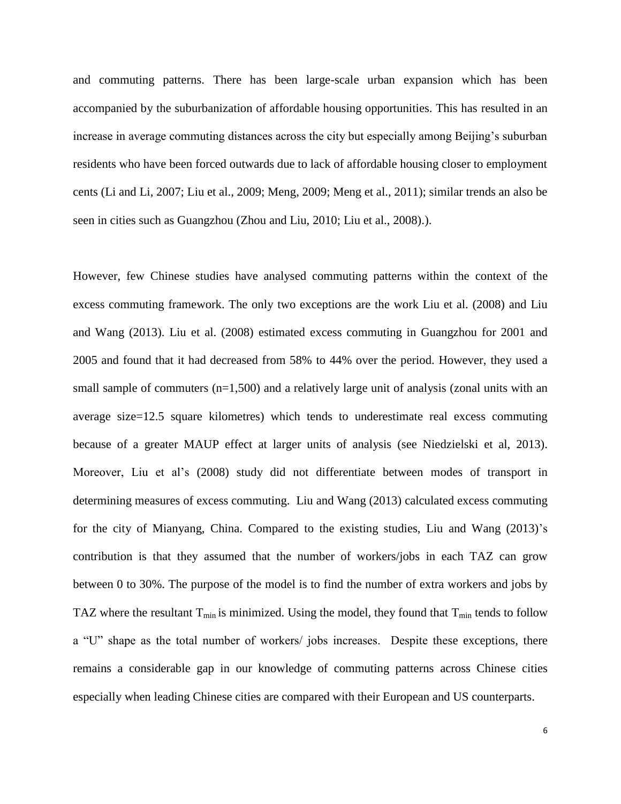and commuting patterns. There has been large-scale urban expansion which has been accompanied by the suburbanization of affordable housing opportunities. This has resulted in an increase in average commuting distances across the city but especially among Beijing's suburban residents who have been forced outwards due to lack of affordable housing closer to employment cents (Li and Li, 2007; Liu et al., 2009; Meng, 2009; Meng et al., 2011); similar trends an also be seen in cities such as Guangzhou (Zhou and Liu, 2010; Liu et al., 2008).).

However, few Chinese studies have analysed commuting patterns within the context of the excess commuting framework. The only two exceptions are the work Liu et al. (2008) and Liu and Wang (2013). Liu et al. (2008) estimated excess commuting in Guangzhou for 2001 and 2005 and found that it had decreased from 58% to 44% over the period. However, they used a small sample of commuters (n=1,500) and a relatively large unit of analysis (zonal units with an average size=12.5 square kilometres) which tends to underestimate real excess commuting because of a greater MAUP effect at larger units of analysis (see Niedzielski et al, 2013). Moreover, Liu et al's (2008) study did not differentiate between modes of transport in determining measures of excess commuting. Liu and Wang (2013) calculated excess commuting for the city of Mianyang, China. Compared to the existing studies, Liu and Wang (2013)'s contribution is that they assumed that the number of workers/jobs in each TAZ can grow between 0 to 30%. The purpose of the model is to find the number of extra workers and jobs by TAZ where the resultant  $T_{min}$  is minimized. Using the model, they found that  $T_{min}$  tends to follow a "U" shape as the total number of workers/ jobs increases. Despite these exceptions, there remains a considerable gap in our knowledge of commuting patterns across Chinese cities especially when leading Chinese cities are compared with their European and US counterparts.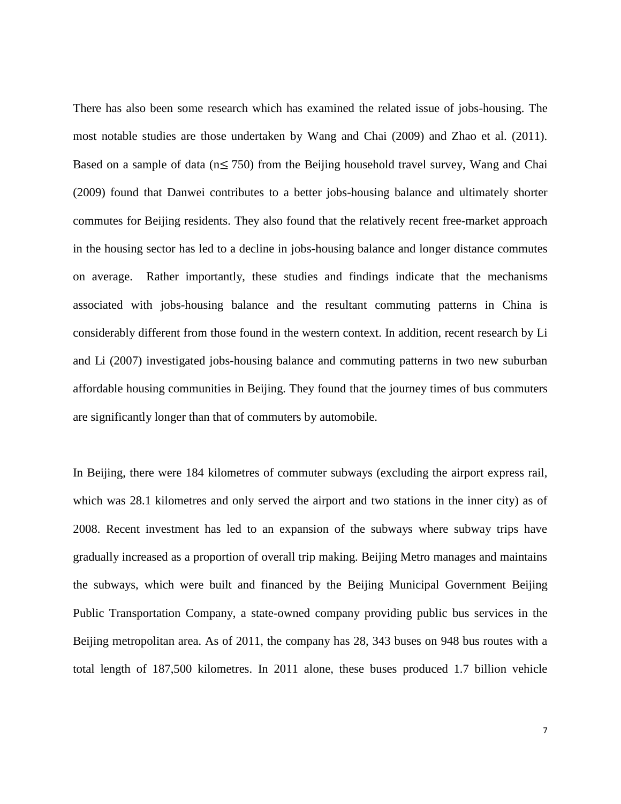There has also been some research which has examined the related issue of jobs-housing. The most notable studies are those undertaken by Wang and Chai (2009) and Zhao et al. (2011). Based on a sample of data ( $n \le 750$ ) from the Beijing household travel survey, Wang and Chai (2009) found that Danwei contributes to a better jobs-housing balance and ultimately shorter commutes for Beijing residents. They also found that the relatively recent free-market approach in the housing sector has led to a decline in jobs-housing balance and longer distance commutes on average. Rather importantly, these studies and findings indicate that the mechanisms associated with jobs-housing balance and the resultant commuting patterns in China is considerably different from those found in the western context. In addition, recent research by Li and Li (2007) investigated jobs-housing balance and commuting patterns in two new suburban affordable housing communities in Beijing. They found that the journey times of bus commuters are significantly longer than that of commuters by automobile.

In Beijing, there were 184 kilometres of commuter subways (excluding the airport express rail, which was 28.1 kilometres and only served the airport and two stations in the inner city) as of 2008. Recent investment has led to an expansion of the subways where subway trips have gradually increased as a proportion of overall trip making. Beijing Metro manages and maintains the subways, which were built and financed by the Beijing Municipal Government Beijing Public Transportation Company, a state-owned company providing public bus services in the Beijing metropolitan area. As of 2011, the company has 28, 343 buses on 948 bus routes with a total length of 187,500 kilometres. In 2011 alone, these buses produced 1.7 billion vehicle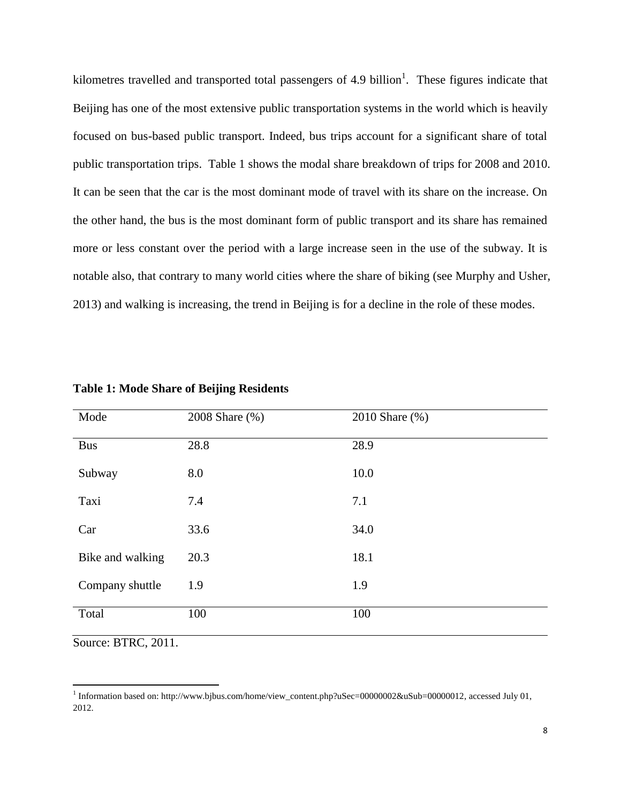kilometres travelled and transported total passengers of 4.9 billion<sup>1</sup>. These figures indicate that Beijing has one of the most extensive public transportation systems in the world which is heavily focused on bus-based public transport. Indeed, bus trips account for a significant share of total public transportation trips. Table 1 shows the modal share breakdown of trips for 2008 and 2010. It can be seen that the car is the most dominant mode of travel with its share on the increase. On the other hand, the bus is the most dominant form of public transport and its share has remained more or less constant over the period with a large increase seen in the use of the subway. It is notable also, that contrary to many world cities where the share of biking (see Murphy and Usher, 2013) and walking is increasing, the trend in Beijing is for a decline in the role of these modes.

| Mode             | 2008 Share (%) | 2010 Share (%) |
|------------------|----------------|----------------|
| <b>Bus</b>       | 28.8           | 28.9           |
| Subway           | 8.0            | 10.0           |
| Taxi             | 7.4            | 7.1            |
| Car              | 33.6           | 34.0           |
| Bike and walking | 20.3           | 18.1           |
| Company shuttle  | 1.9            | 1.9            |
| Total            | 100            | 100            |

**Table 1: Mode Share of Beijing Residents** 

Source: BTRC, 2011.

l

<sup>1</sup> Information based on: [http://www.bjbus.com/home/view\\_content.php?uSec=00000002&uSub=00000012,](http://www.bjbus.com/home/view_content.php?uSec=00000002&uSub=00000012) accessed July 01, 2012.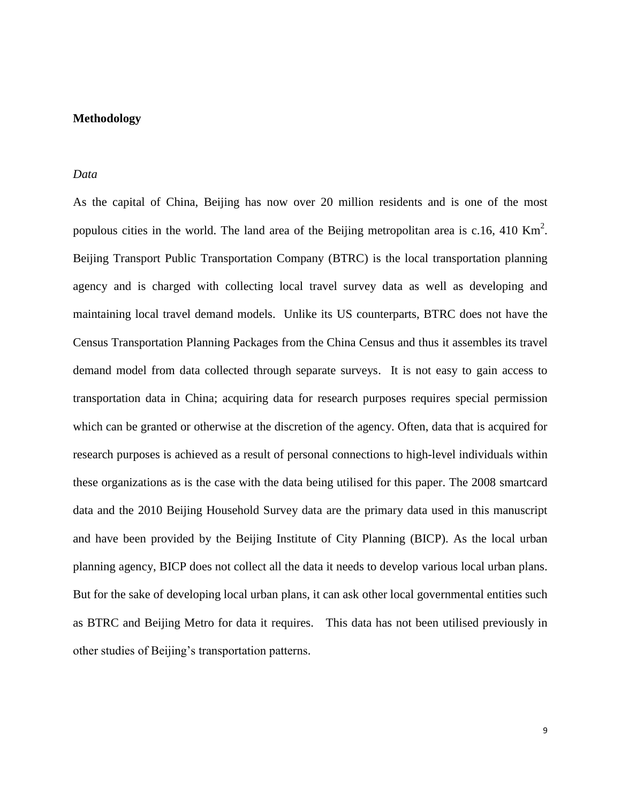# **Methodology**

## *Data*

As the capital of China, Beijing has now over 20 million residents and is one of the most populous cities in the world. The land area of the Beijing metropolitan area is c.16, 410 Km<sup>2</sup>. Beijing Transport Public Transportation Company (BTRC) is the local transportation planning agency and is charged with collecting local travel survey data as well as developing and maintaining local travel demand models. Unlike its US counterparts, BTRC does not have the Census Transportation Planning Packages from the China Census and thus it assembles its travel demand model from data collected through separate surveys. It is not easy to gain access to transportation data in China; acquiring data for research purposes requires special permission which can be granted or otherwise at the discretion of the agency. Often, data that is acquired for research purposes is achieved as a result of personal connections to high-level individuals within these organizations as is the case with the data being utilised for this paper. The 2008 smartcard data and the 2010 Beijing Household Survey data are the primary data used in this manuscript and have been provided by the Beijing Institute of City Planning (BICP). As the local urban planning agency, BICP does not collect all the data it needs to develop various local urban plans. But for the sake of developing local urban plans, it can ask other local governmental entities such as BTRC and Beijing Metro for data it requires. This data has not been utilised previously in other studies of Beijing's transportation patterns.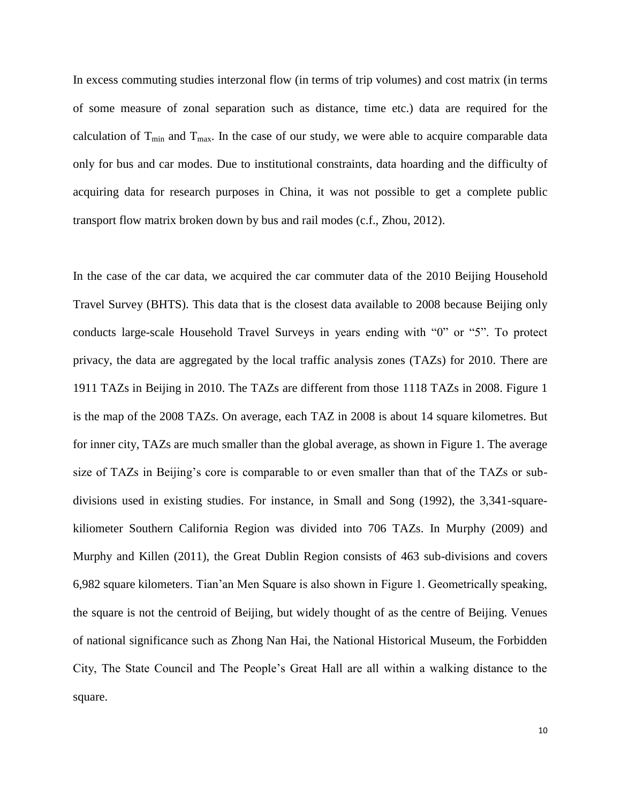In excess commuting studies interzonal flow (in terms of trip volumes) and cost matrix (in terms of some measure of zonal separation such as distance, time etc.) data are required for the calculation of  $T_{min}$  and  $T_{max}$ . In the case of our study, we were able to acquire comparable data only for bus and car modes. Due to institutional constraints, data hoarding and the difficulty of acquiring data for research purposes in China, it was not possible to get a complete public transport flow matrix broken down by bus and rail modes (c.f., Zhou, 2012).

In the case of the car data, we acquired the car commuter data of the 2010 Beijing Household Travel Survey (BHTS). This data that is the closest data available to 2008 because Beijing only conducts large-scale Household Travel Surveys in years ending with "0" or "5". To protect privacy, the data are aggregated by the local traffic analysis zones (TAZs) for 2010. There are 1911 TAZs in Beijing in 2010. The TAZs are different from those 1118 TAZs in 2008. Figure 1 is the map of the 2008 TAZs. On average, each TAZ in 2008 is about 14 square kilometres. But for inner city, TAZs are much smaller than the global average, as shown in Figure 1. The average size of TAZs in Beijing's core is comparable to or even smaller than that of the TAZs or subdivisions used in existing studies. For instance, in Small and Song (1992), the 3,341-squarekiliometer Southern California Region was divided into 706 TAZs. In Murphy (2009) and Murphy and Killen (2011), the Great Dublin Region consists of 463 sub-divisions and covers 6,982 square kilometers. Tian'an Men Square is also shown in Figure 1. Geometrically speaking, the square is not the centroid of Beijing, but widely thought of as the centre of Beijing. Venues of national significance such as Zhong Nan Hai, the National Historical Museum, the Forbidden City, The State Council and The People's Great Hall are all within a walking distance to the square.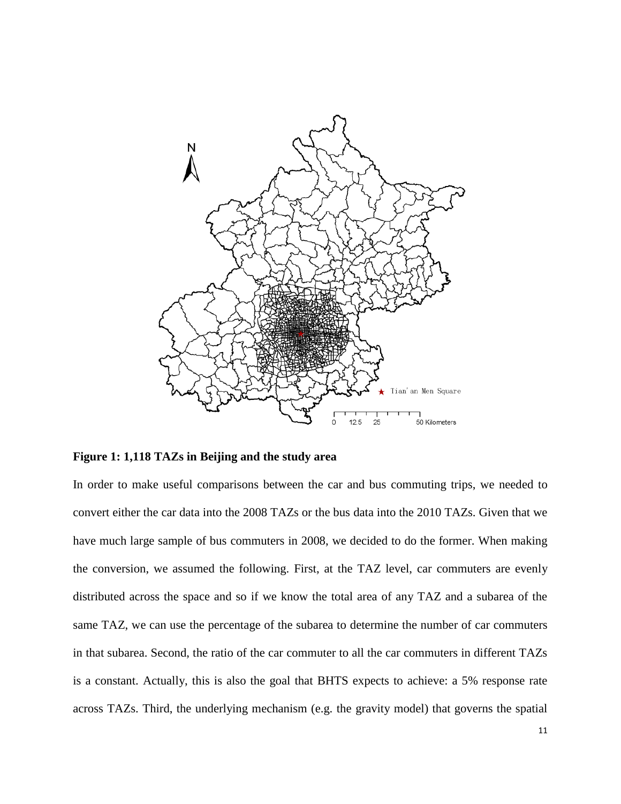

**Figure 1: 1,118 TAZs in Beijing and the study area**

In order to make useful comparisons between the car and bus commuting trips, we needed to convert either the car data into the 2008 TAZs or the bus data into the 2010 TAZs. Given that we have much large sample of bus commuters in 2008, we decided to do the former. When making the conversion, we assumed the following. First, at the TAZ level, car commuters are evenly distributed across the space and so if we know the total area of any TAZ and a subarea of the same TAZ, we can use the percentage of the subarea to determine the number of car commuters in that subarea. Second, the ratio of the car commuter to all the car commuters in different TAZs is a constant. Actually, this is also the goal that BHTS expects to achieve: a 5% response rate across TAZs. Third, the underlying mechanism (e.g. the gravity model) that governs the spatial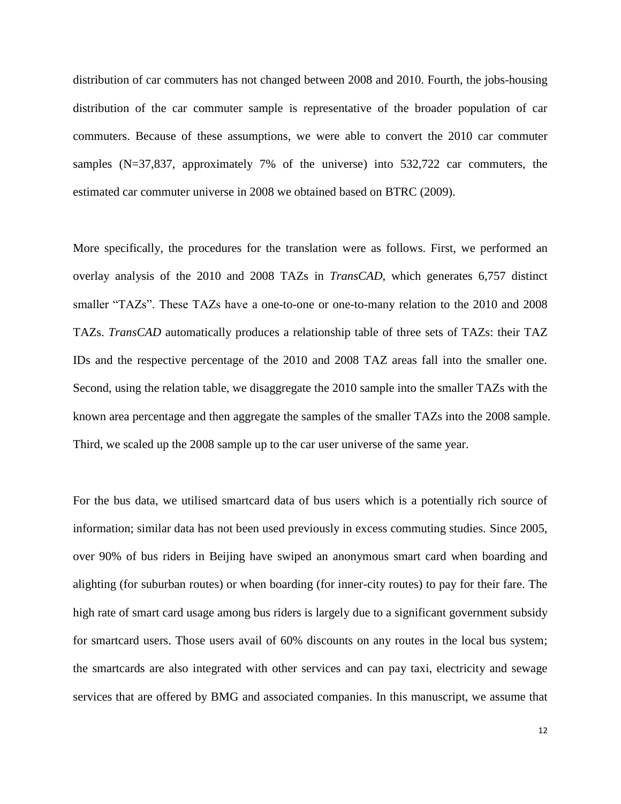distribution of car commuters has not changed between 2008 and 2010. Fourth, the jobs-housing distribution of the car commuter sample is representative of the broader population of car commuters. Because of these assumptions, we were able to convert the 2010 car commuter samples (N=37,837, approximately 7% of the universe) into 532,722 car commuters, the estimated car commuter universe in 2008 we obtained based on BTRC (2009).

More specifically, the procedures for the translation were as follows. First, we performed an overlay analysis of the 2010 and 2008 TAZs in *TransCAD*, which generates 6,757 distinct smaller "TAZs". These TAZs have a one-to-one or one-to-many relation to the 2010 and 2008 TAZs. *TransCAD* automatically produces a relationship table of three sets of TAZs: their TAZ IDs and the respective percentage of the 2010 and 2008 TAZ areas fall into the smaller one. Second, using the relation table, we disaggregate the 2010 sample into the smaller TAZs with the known area percentage and then aggregate the samples of the smaller TAZs into the 2008 sample. Third, we scaled up the 2008 sample up to the car user universe of the same year.

For the bus data, we utilised smartcard data of bus users which is a potentially rich source of information; similar data has not been used previously in excess commuting studies. Since 2005, over 90% of bus riders in Beijing have swiped an anonymous smart card when boarding and alighting (for suburban routes) or when boarding (for inner-city routes) to pay for their fare. The high rate of smart card usage among bus riders is largely due to a significant government subsidy for smartcard users. Those users avail of 60% discounts on any routes in the local bus system; the smartcards are also integrated with other services and can pay taxi, electricity and sewage services that are offered by BMG and associated companies. In this manuscript, we assume that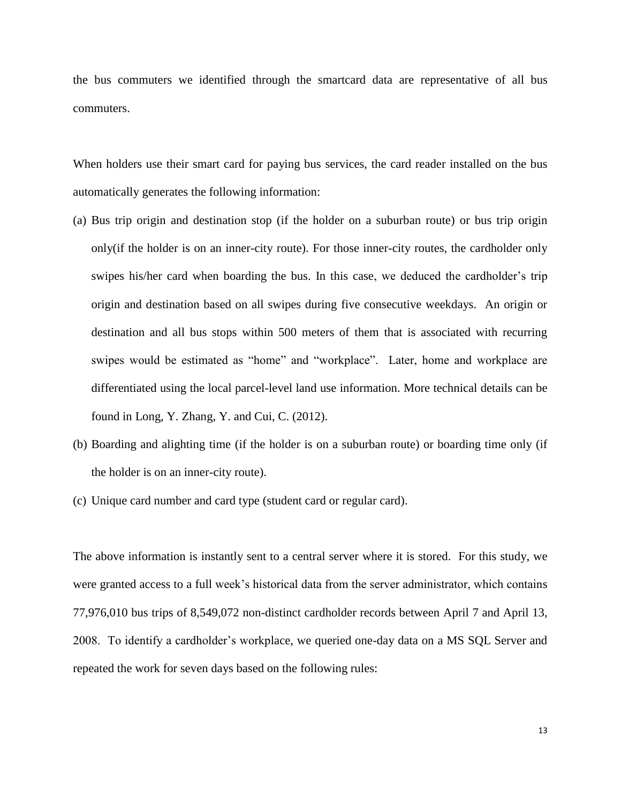the bus commuters we identified through the smartcard data are representative of all bus commuters.

When holders use their smart card for paying bus services, the card reader installed on the bus automatically generates the following information:

- (a) Bus trip origin and destination stop (if the holder on a suburban route) or bus trip origin only(if the holder is on an inner-city route). For those inner-city routes, the cardholder only swipes his/her card when boarding the bus. In this case, we deduced the cardholder's trip origin and destination based on all swipes during five consecutive weekdays. An origin or destination and all bus stops within 500 meters of them that is associated with recurring swipes would be estimated as "home" and "workplace". Later, home and workplace are differentiated using the local parcel-level land use information. More technical details can be found in Long, Y. Zhang, Y. and Cui, C. (2012).
- (b) Boarding and alighting time (if the holder is on a suburban route) or boarding time only (if the holder is on an inner-city route).
- (c) Unique card number and card type (student card or regular card).

The above information is instantly sent to a central server where it is stored. For this study, we were granted access to a full week's historical data from the server administrator, which contains 77,976,010 bus trips of 8,549,072 non-distinct cardholder records between April 7 and April 13, 2008. To identify a cardholder's workplace, we queried one-day data on a MS SQL Server and repeated the work for seven days based on the following rules: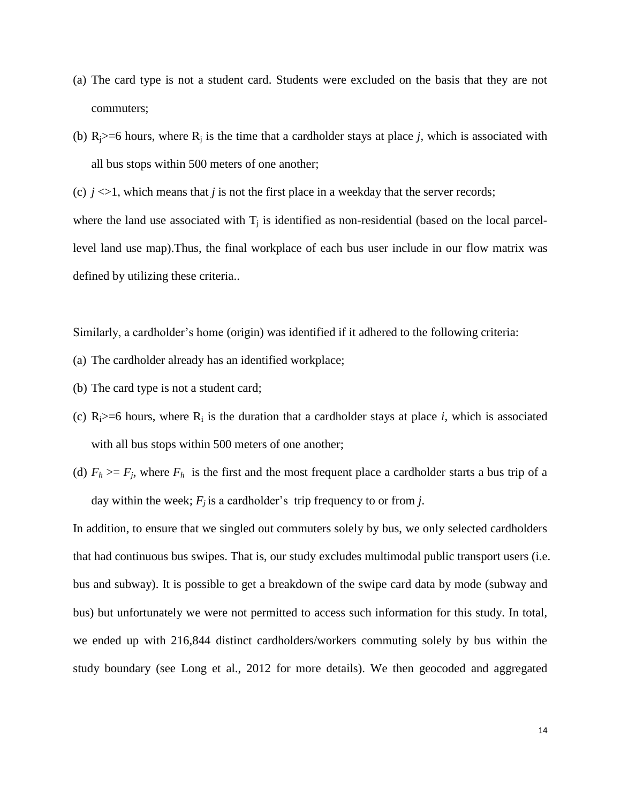- (a) The card type is not a student card. Students were excluded on the basis that they are not commuters;
- (b)  $R_i$  >=6 hours, where  $R_i$  is the time that a cardholder stays at place *j*, which is associated with all bus stops within 500 meters of one another;

(c)  $j \ll 1$ , which means that *j* is not the first place in a weekday that the server records;

where the land use associated with  $T_j$  is identified as non-residential (based on the local parcellevel land use map).Thus, the final workplace of each bus user include in our flow matrix was defined by utilizing these criteria..

Similarly, a cardholder's home (origin) was identified if it adhered to the following criteria:

- (a) The cardholder already has an identified workplace;
- (b) The card type is not a student card;
- (c)  $R_i$  >=6 hours, where  $R_i$  is the duration that a cardholder stays at place *i*, which is associated with all bus stops within 500 meters of one another;
- (d)  $F_h \geq F_f$ , where  $F_h$  is the first and the most frequent place a cardholder starts a bus trip of a day within the week;  $F_j$  is a cardholder's trip frequency to or from *j*.

In addition, to ensure that we singled out commuters solely by bus, we only selected cardholders that had continuous bus swipes. That is, our study excludes multimodal public transport users (i.e. bus and subway). It is possible to get a breakdown of the swipe card data by mode (subway and bus) but unfortunately we were not permitted to access such information for this study. In total, we ended up with 216,844 distinct cardholders/workers commuting solely by bus within the study boundary (see Long et al., 2012 for more details). We then geocoded and aggregated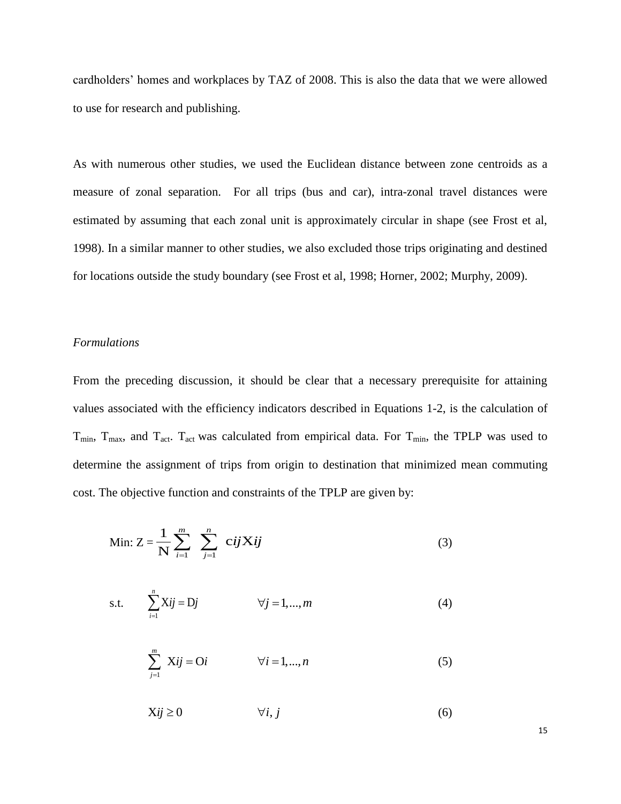cardholders' homes and workplaces by TAZ of 2008. This is also the data that we were allowed to use for research and publishing.

As with numerous other studies, we used the Euclidean distance between zone centroids as a measure of zonal separation. For all trips (bus and car), intra-zonal travel distances were estimated by assuming that each zonal unit is approximately circular in shape (see Frost et al, 1998). In a similar manner to other studies, we also excluded those trips originating and destined for locations outside the study boundary (see Frost et al, 1998; Horner, 2002; Murphy, 2009).

#### *Formulations*

From the preceding discussion, it should be clear that a necessary prerequisite for attaining values associated with the efficiency indicators described in Equations 1-2, is the calculation of  $T_{min}$ ,  $T_{max}$ , and  $T_{act}$ . T<sub>act</sub> was calculated from empirical data. For  $T_{min}$ , the TPLP was used to determine the assignment of trips from origin to destination that minimized mean commuting cost. The objective function and constraints of the TPLP are given by:

Min: 
$$
Z = \frac{1}{N} \sum_{i=1}^{m} \sum_{j=1}^{n} cijXij
$$
 (3)

s.t. 
$$
\sum_{i=1}^{n} Xij = Dj
$$
  $\forall j = 1,...,m$  (4)

$$
\sum_{j=1}^{m} Xij = Oi \qquad \forall i = 1,...,n
$$
 (5)

$$
Xij \ge 0 \qquad \qquad \forall i, j \tag{6}
$$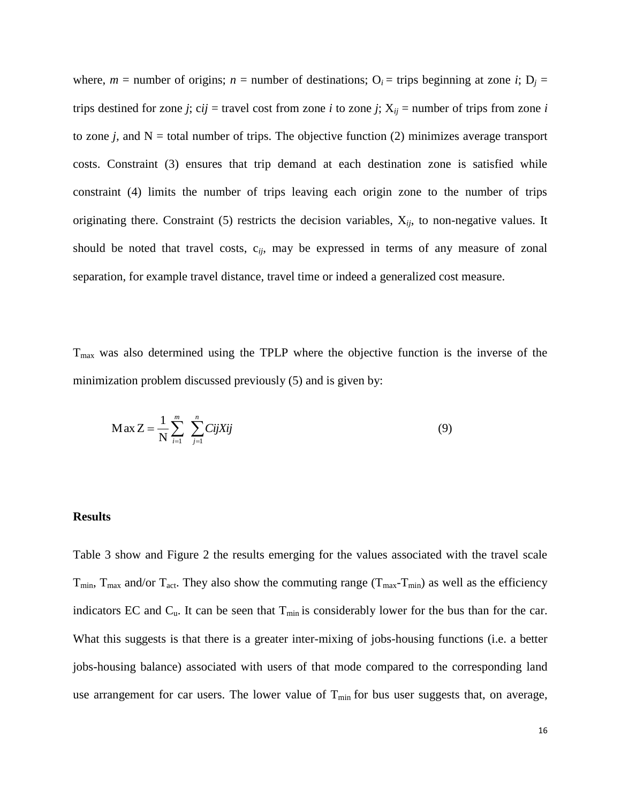where,  $m =$  number of origins;  $n =$  number of destinations;  $O_i =$  trips beginning at zone *i*;  $D_j =$ trips destined for zone *j*; c*ij* = travel cost from zone *i* to zone *j*;  $X_{ij}$  = number of trips from zone *i* to zone  $j$ , and  $N =$  total number of trips. The objective function (2) minimizes average transport costs. Constraint (3) ensures that trip demand at each destination zone is satisfied while constraint (4) limits the number of trips leaving each origin zone to the number of trips originating there. Constraint (5) restricts the decision variables, X*ij*, to non-negative values. It should be noted that travel costs, c*ij*, may be expressed in terms of any measure of zonal separation, for example travel distance, travel time or indeed a generalized cost measure.

 $T<sub>max</sub>$  was also determined using the TPLP where the objective function is the inverse of the minimization problem discussed previously (5) and is given by:

$$
Max Z = \frac{1}{N} \sum_{i=1}^{m} \sum_{j=1}^{n} CijXij
$$
 (9)

#### **Results**

Table 3 show and Figure 2 the results emerging for the values associated with the travel scale  $T_{min}$ ,  $T_{max}$  and/or  $T_{act}$ . They also show the commuting range  $(T_{max}-T_{min})$  as well as the efficiency indicators EC and  $C_u$ . It can be seen that  $T_{min}$  is considerably lower for the bus than for the car. What this suggests is that there is a greater inter-mixing of jobs-housing functions (i.e. a better jobs-housing balance) associated with users of that mode compared to the corresponding land use arrangement for car users. The lower value of  $T_{min}$  for bus user suggests that, on average,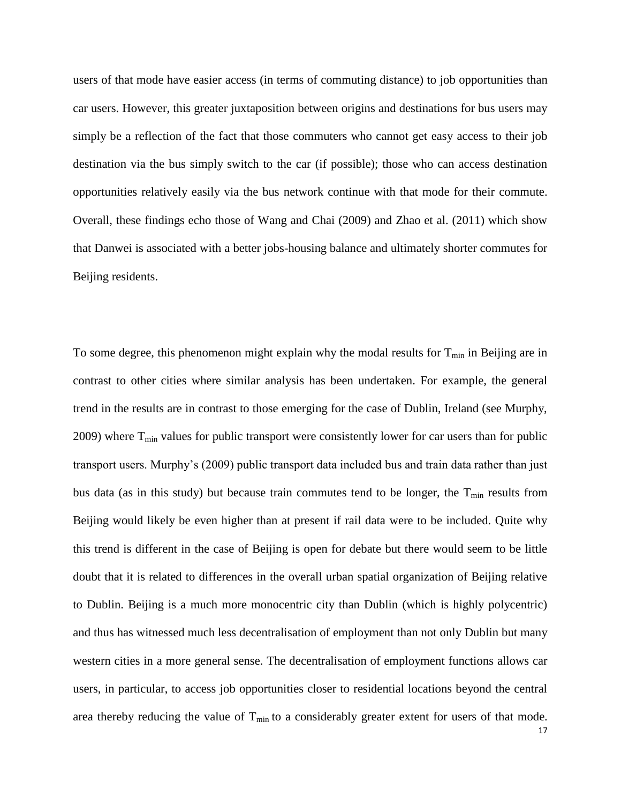users of that mode have easier access (in terms of commuting distance) to job opportunities than car users. However, this greater juxtaposition between origins and destinations for bus users may simply be a reflection of the fact that those commuters who cannot get easy access to their job destination via the bus simply switch to the car (if possible); those who can access destination opportunities relatively easily via the bus network continue with that mode for their commute. Overall, these findings echo those of Wang and Chai (2009) and Zhao et al. (2011) which show that Danwei is associated with a better jobs-housing balance and ultimately shorter commutes for Beijing residents.

To some degree, this phenomenon might explain why the modal results for  $T_{min}$  in Beijing are in contrast to other cities where similar analysis has been undertaken. For example, the general trend in the results are in contrast to those emerging for the case of Dublin, Ireland (see Murphy, 2009) where  $T_{min}$  values for public transport were consistently lower for car users than for public transport users. Murphy's (2009) public transport data included bus and train data rather than just bus data (as in this study) but because train commutes tend to be longer, the  $T_{min}$  results from Beijing would likely be even higher than at present if rail data were to be included. Quite why this trend is different in the case of Beijing is open for debate but there would seem to be little doubt that it is related to differences in the overall urban spatial organization of Beijing relative to Dublin. Beijing is a much more monocentric city than Dublin (which is highly polycentric) and thus has witnessed much less decentralisation of employment than not only Dublin but many western cities in a more general sense. The decentralisation of employment functions allows car users, in particular, to access job opportunities closer to residential locations beyond the central area thereby reducing the value of  $T_{min}$  to a considerably greater extent for users of that mode.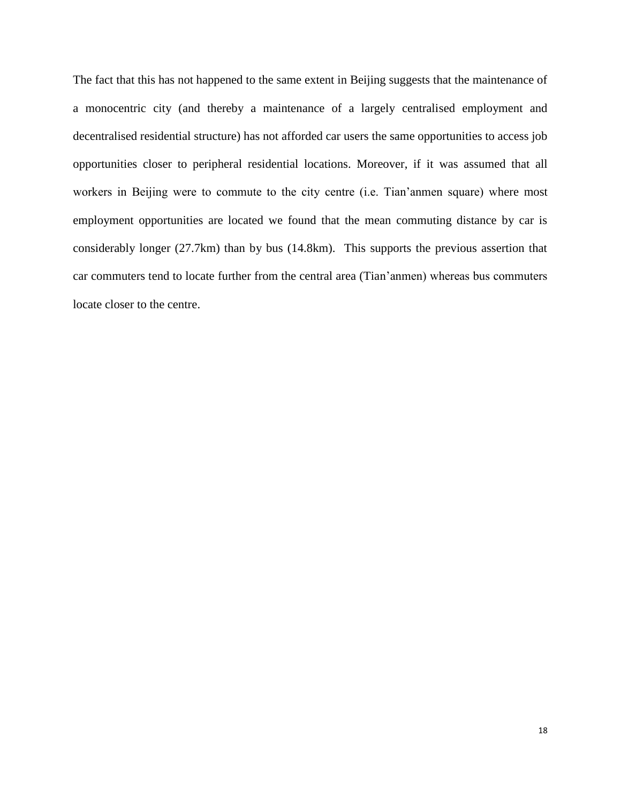The fact that this has not happened to the same extent in Beijing suggests that the maintenance of a monocentric city (and thereby a maintenance of a largely centralised employment and decentralised residential structure) has not afforded car users the same opportunities to access job opportunities closer to peripheral residential locations. Moreover, if it was assumed that all workers in Beijing were to commute to the city centre (i.e. Tian'anmen square) where most employment opportunities are located we found that the mean commuting distance by car is considerably longer (27.7km) than by bus (14.8km). This supports the previous assertion that car commuters tend to locate further from the central area (Tian'anmen) whereas bus commuters locate closer to the centre.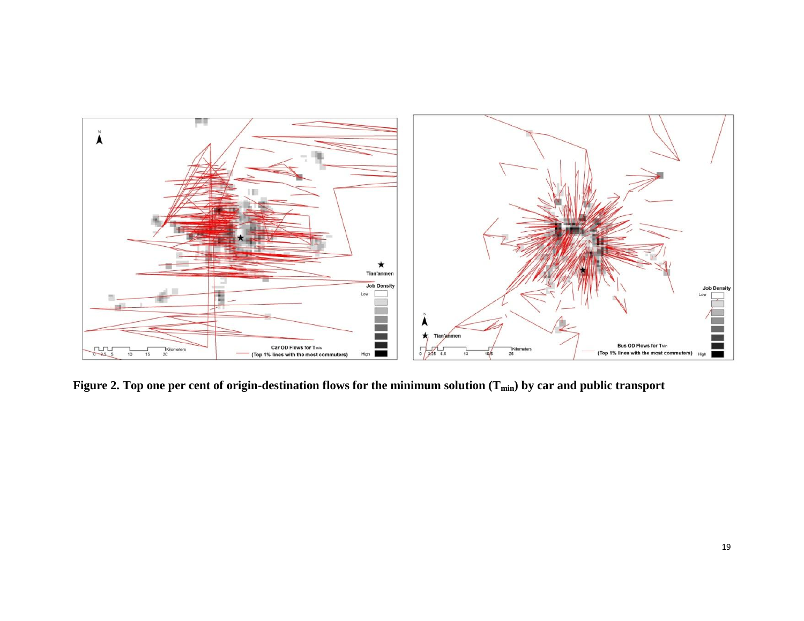

**Figure 2. Top one per cent of origin-destination flows for the minimum solution (Tmin) by car and public transport**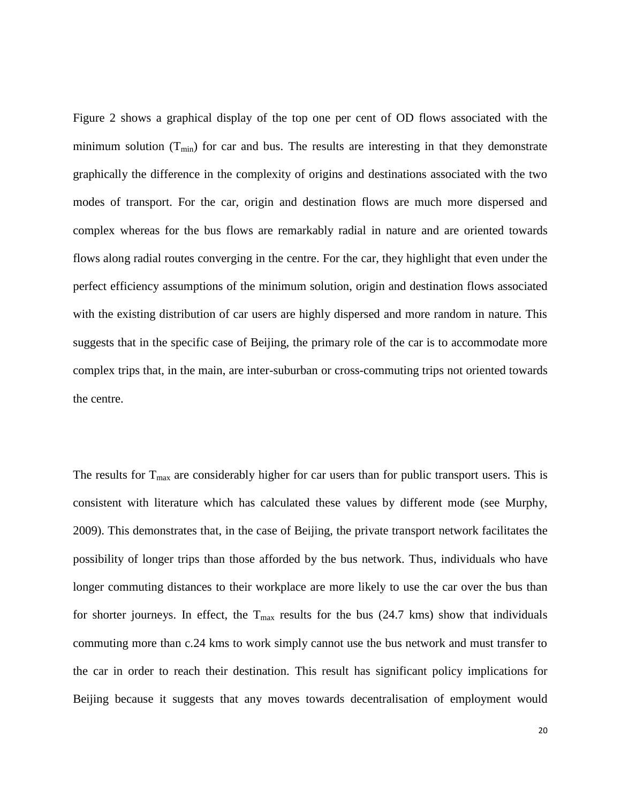Figure 2 shows a graphical display of the top one per cent of OD flows associated with the minimum solution  $(T_{min})$  for car and bus. The results are interesting in that they demonstrate graphically the difference in the complexity of origins and destinations associated with the two modes of transport. For the car, origin and destination flows are much more dispersed and complex whereas for the bus flows are remarkably radial in nature and are oriented towards flows along radial routes converging in the centre. For the car, they highlight that even under the perfect efficiency assumptions of the minimum solution, origin and destination flows associated with the existing distribution of car users are highly dispersed and more random in nature. This suggests that in the specific case of Beijing, the primary role of the car is to accommodate more complex trips that, in the main, are inter-suburban or cross-commuting trips not oriented towards the centre.

The results for  $T_{\text{max}}$  are considerably higher for car users than for public transport users. This is consistent with literature which has calculated these values by different mode (see Murphy, 2009). This demonstrates that, in the case of Beijing, the private transport network facilitates the possibility of longer trips than those afforded by the bus network. Thus, individuals who have longer commuting distances to their workplace are more likely to use the car over the bus than for shorter journeys. In effect, the  $T_{\text{max}}$  results for the bus (24.7 kms) show that individuals commuting more than c.24 kms to work simply cannot use the bus network and must transfer to the car in order to reach their destination. This result has significant policy implications for Beijing because it suggests that any moves towards decentralisation of employment would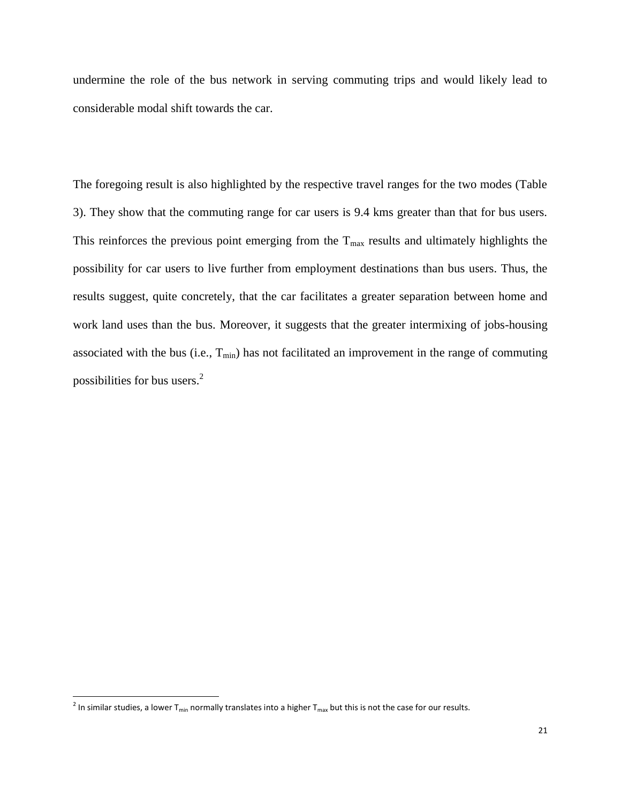undermine the role of the bus network in serving commuting trips and would likely lead to considerable modal shift towards the car.

The foregoing result is also highlighted by the respective travel ranges for the two modes (Table 3). They show that the commuting range for car users is 9.4 kms greater than that for bus users. This reinforces the previous point emerging from the  $T_{\text{max}}$  results and ultimately highlights the possibility for car users to live further from employment destinations than bus users. Thus, the results suggest, quite concretely, that the car facilitates a greater separation between home and work land uses than the bus. Moreover, it suggests that the greater intermixing of jobs-housing associated with the bus (i.e.,  $T_{min}$ ) has not facilitated an improvement in the range of commuting possibilities for bus users.<sup>2</sup>

 $^2$  In similar studies, a lower T<sub>min</sub> normally translates into a higher T<sub>max</sub> but this is not the case for our results.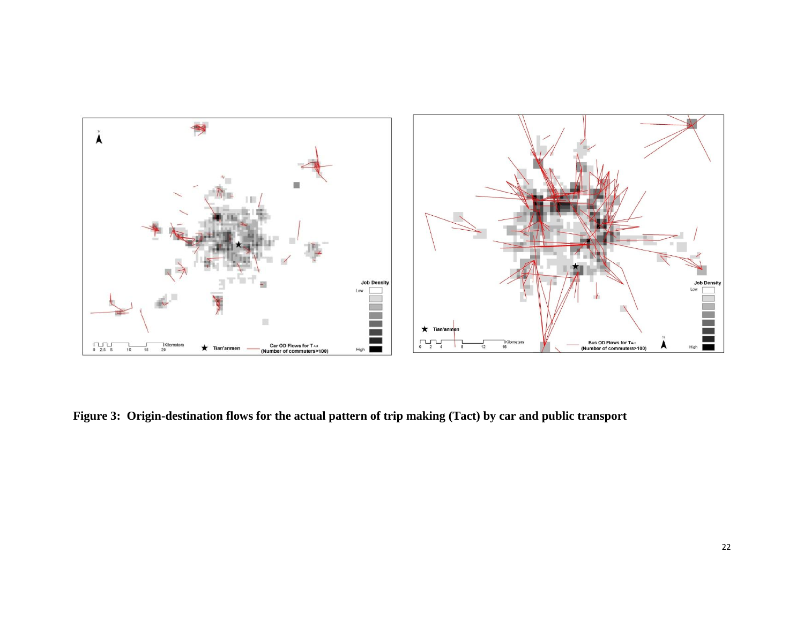

**Figure 3: Origin-destination flows for the actual pattern of trip making (Tact) by car and public transport**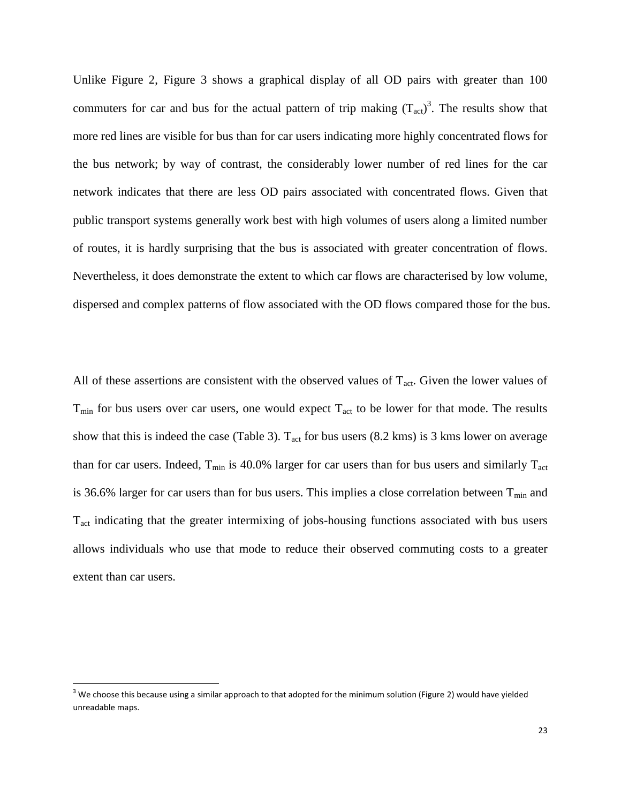Unlike Figure 2, Figure 3 shows a graphical display of all OD pairs with greater than 100 commuters for car and bus for the actual pattern of trip making  $(T<sub>act</sub>)<sup>3</sup>$ . The results show that more red lines are visible for bus than for car users indicating more highly concentrated flows for the bus network; by way of contrast, the considerably lower number of red lines for the car network indicates that there are less OD pairs associated with concentrated flows. Given that public transport systems generally work best with high volumes of users along a limited number of routes, it is hardly surprising that the bus is associated with greater concentration of flows. Nevertheless, it does demonstrate the extent to which car flows are characterised by low volume, dispersed and complex patterns of flow associated with the OD flows compared those for the bus.

All of these assertions are consistent with the observed values of  $T_{act}$ . Given the lower values of  $T_{\text{min}}$  for bus users over car users, one would expect  $T_{\text{act}}$  to be lower for that mode. The results show that this is indeed the case (Table 3).  $T_{act}$  for bus users (8.2 kms) is 3 kms lower on average than for car users. Indeed,  $T_{min}$  is 40.0% larger for car users than for bus users and similarly  $T_{act}$ is 36.6% larger for car users than for bus users. This implies a close correlation between  $T_{min}$  and Tact indicating that the greater intermixing of jobs-housing functions associated with bus users allows individuals who use that mode to reduce their observed commuting costs to a greater extent than car users.

 $\overline{a}$ 

 $3$  We choose this because using a similar approach to that adopted for the minimum solution (Figure 2) would have yielded unreadable maps.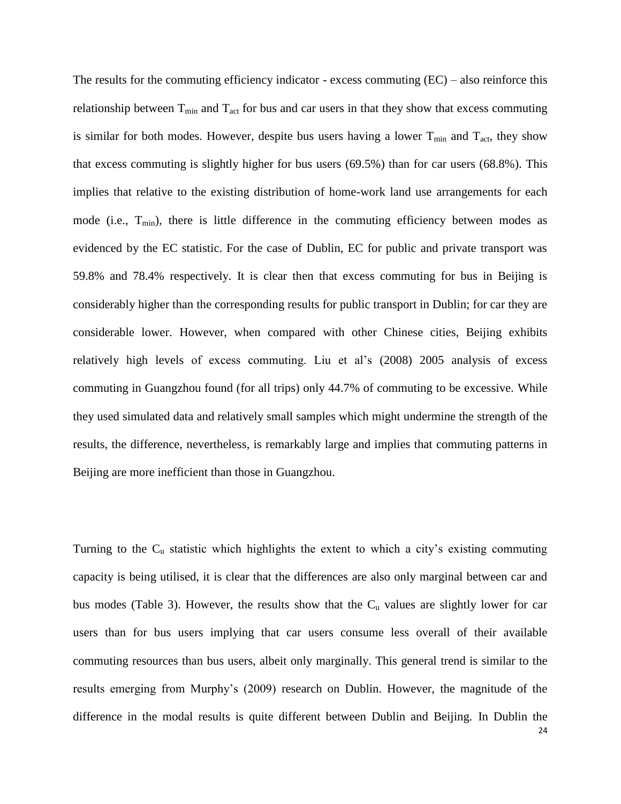The results for the commuting efficiency indicator - excess commuting  $(EC)$  – also reinforce this relationship between  $T_{min}$  and  $T_{act}$  for bus and car users in that they show that excess commuting is similar for both modes. However, despite bus users having a lower  $T_{min}$  and  $T_{act}$ , they show that excess commuting is slightly higher for bus users (69.5%) than for car users (68.8%). This implies that relative to the existing distribution of home-work land use arrangements for each mode (i.e.,  $T_{min}$ ), there is little difference in the commuting efficiency between modes as evidenced by the EC statistic. For the case of Dublin, EC for public and private transport was 59.8% and 78.4% respectively. It is clear then that excess commuting for bus in Beijing is considerably higher than the corresponding results for public transport in Dublin; for car they are considerable lower. However, when compared with other Chinese cities, Beijing exhibits relatively high levels of excess commuting. Liu et al's (2008) 2005 analysis of excess commuting in Guangzhou found (for all trips) only 44.7% of commuting to be excessive. While they used simulated data and relatively small samples which might undermine the strength of the results, the difference, nevertheless, is remarkably large and implies that commuting patterns in Beijing are more inefficient than those in Guangzhou.

Turning to the  $C_u$  statistic which highlights the extent to which a city's existing commuting capacity is being utilised, it is clear that the differences are also only marginal between car and bus modes (Table 3). However, the results show that the  $C<sub>u</sub>$  values are slightly lower for car users than for bus users implying that car users consume less overall of their available commuting resources than bus users, albeit only marginally. This general trend is similar to the results emerging from Murphy's (2009) research on Dublin. However, the magnitude of the difference in the modal results is quite different between Dublin and Beijing. In Dublin the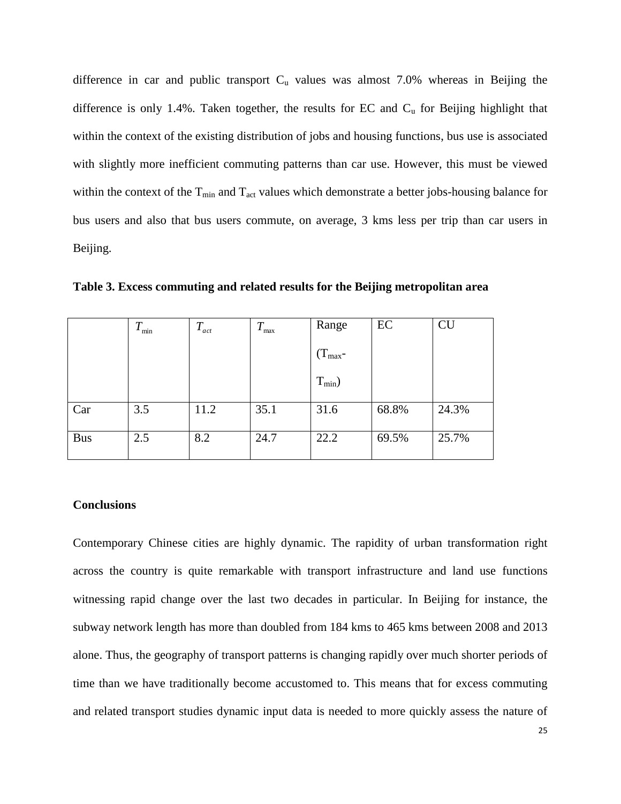difference in car and public transport  $C<sub>u</sub>$  values was almost 7.0% whereas in Beijing the difference is only 1.4%. Taken together, the results for EC and  $C<sub>u</sub>$  for Beijing highlight that within the context of the existing distribution of jobs and housing functions, bus use is associated with slightly more inefficient commuting patterns than car use. However, this must be viewed within the context of the  $T_{min}$  and  $T_{act}$  values which demonstrate a better jobs-housing balance for bus users and also that bus users commute, on average, 3 kms less per trip than car users in Beijing.

|            | $T_{\rm min}$ | $T_{\scriptscriptstyle act}$ | $\bm{\tau}$<br>max | Range        | EC    | <b>CU</b> |
|------------|---------------|------------------------------|--------------------|--------------|-------|-----------|
|            |               |                              |                    | $(T_{max}$ - |       |           |
|            |               |                              |                    | $T_{min}$ )  |       |           |
| Car        | 3.5           | 11.2                         | 35.1               | 31.6         | 68.8% | 24.3%     |
| <b>Bus</b> | 2.5           | 8.2                          | 24.7               | 22.2         | 69.5% | 25.7%     |

**Table 3. Excess commuting and related results for the Beijing metropolitan area**

#### **Conclusions**

Contemporary Chinese cities are highly dynamic. The rapidity of urban transformation right across the country is quite remarkable with transport infrastructure and land use functions witnessing rapid change over the last two decades in particular. In Beijing for instance, the subway network length has more than doubled from 184 kms to 465 kms between 2008 and 2013 alone. Thus, the geography of transport patterns is changing rapidly over much shorter periods of time than we have traditionally become accustomed to. This means that for excess commuting and related transport studies dynamic input data is needed to more quickly assess the nature of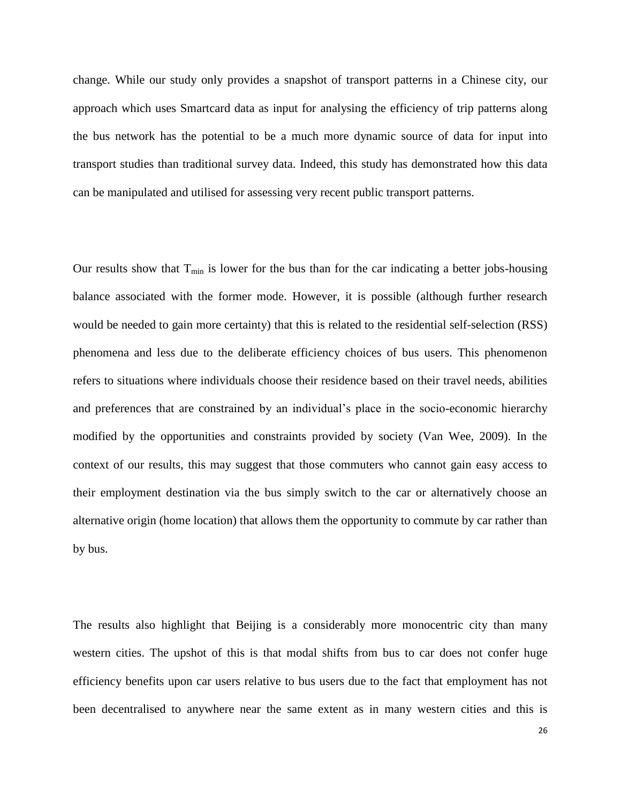change. While our study only provides a snapshot of transport patterns in a Chinese city, our approach which uses Smartcard data as input for analysing the efficiency of trip patterns along the bus network has the potential to be a much more dynamic source of data for input into transport studies than traditional survey data. Indeed, this study has demonstrated how this data can be manipulated and utilised for assessing very recent public transport patterns.

Our results show that  $T_{min}$  is lower for the bus than for the car indicating a better jobs-housing balance associated with the former mode. However, it is possible (although further research would be needed to gain more certainty) that this is related to the residential self-selection (RSS) phenomena and less due to the deliberate efficiency choices of bus users. This phenomenon refers to situations where individuals choose their residence based on their travel needs, abilities and preferences that are constrained by an individual's place in the socio-economic hierarchy modified by the opportunities and constraints provided by society (Van Wee, 2009). In the context of our results, this may suggest that those commuters who cannot gain easy access to their employment destination via the bus simply switch to the car or alternatively choose an alternative origin (home location) that allows them the opportunity to commute by car rather than by bus.

The results also highlight that Beijing is a considerably more monocentric city than many western cities. The upshot of this is that modal shifts from bus to car does not confer huge efficiency benefits upon car users relative to bus users due to the fact that employment has not been decentralised to anywhere near the same extent as in many western cities and this is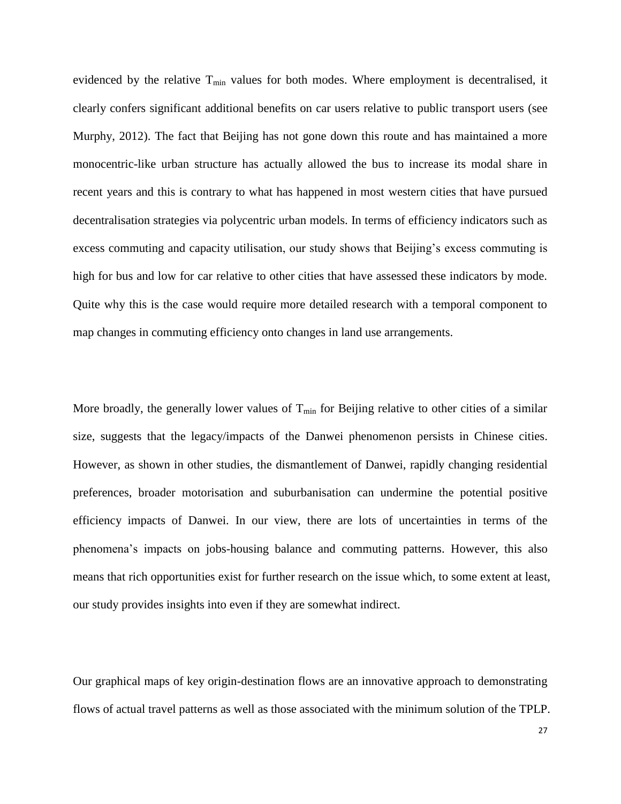evidenced by the relative  $T_{\text{min}}$  values for both modes. Where employment is decentralised, it clearly confers significant additional benefits on car users relative to public transport users (see Murphy, 2012). The fact that Beijing has not gone down this route and has maintained a more monocentric-like urban structure has actually allowed the bus to increase its modal share in recent years and this is contrary to what has happened in most western cities that have pursued decentralisation strategies via polycentric urban models. In terms of efficiency indicators such as excess commuting and capacity utilisation, our study shows that Beijing's excess commuting is high for bus and low for car relative to other cities that have assessed these indicators by mode. Quite why this is the case would require more detailed research with a temporal component to map changes in commuting efficiency onto changes in land use arrangements.

More broadly, the generally lower values of  $T_{min}$  for Beijing relative to other cities of a similar size, suggests that the legacy/impacts of the Danwei phenomenon persists in Chinese cities. However, as shown in other studies, the dismantlement of Danwei, rapidly changing residential preferences, broader motorisation and suburbanisation can undermine the potential positive efficiency impacts of Danwei. In our view, there are lots of uncertainties in terms of the phenomena's impacts on jobs-housing balance and commuting patterns. However, this also means that rich opportunities exist for further research on the issue which, to some extent at least, our study provides insights into even if they are somewhat indirect.

Our graphical maps of key origin-destination flows are an innovative approach to demonstrating flows of actual travel patterns as well as those associated with the minimum solution of the TPLP.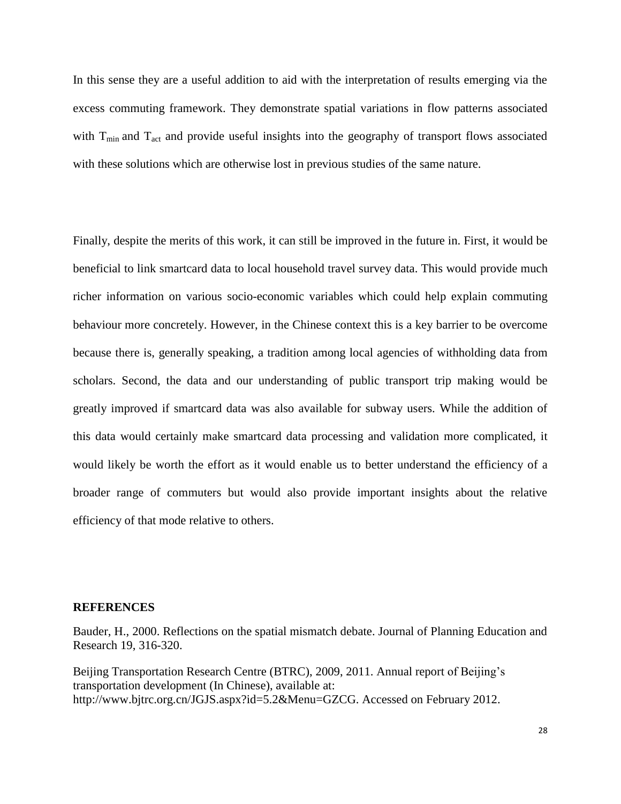In this sense they are a useful addition to aid with the interpretation of results emerging via the excess commuting framework. They demonstrate spatial variations in flow patterns associated with  $T_{min}$  and  $T_{act}$  and provide useful insights into the geography of transport flows associated with these solutions which are otherwise lost in previous studies of the same nature.

Finally, despite the merits of this work, it can still be improved in the future in. First, it would be beneficial to link smartcard data to local household travel survey data. This would provide much richer information on various socio-economic variables which could help explain commuting behaviour more concretely. However, in the Chinese context this is a key barrier to be overcome because there is, generally speaking, a tradition among local agencies of withholding data from scholars. Second, the data and our understanding of public transport trip making would be greatly improved if smartcard data was also available for subway users. While the addition of this data would certainly make smartcard data processing and validation more complicated, it would likely be worth the effort as it would enable us to better understand the efficiency of a broader range of commuters but would also provide important insights about the relative efficiency of that mode relative to others.

#### **REFERENCES**

Bauder, H., 2000. Reflections on the spatial mismatch debate. Journal of Planning Education and Research 19, 316-320.

Beijing Transportation Research Centre (BTRC), 2009, 2011. Annual report of Beijing's transportation development (In Chinese), available at: http://www.bjtrc.org.cn/JGJS.aspx?id=5.2&Menu=GZCG. Accessed on February 2012.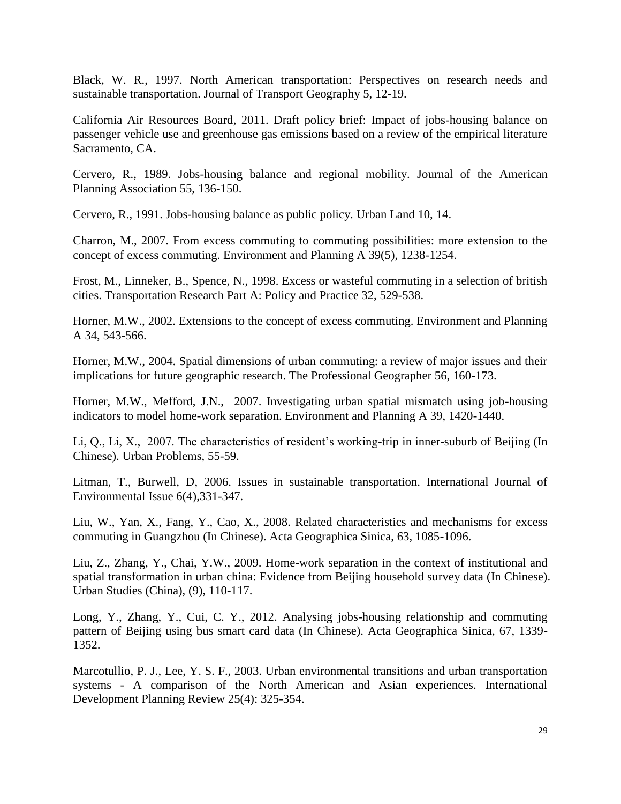Black, W. R., 1997. North American transportation: Perspectives on research needs and sustainable transportation. Journal of Transport Geography 5, 12-19.

California Air Resources Board, 2011. Draft policy brief: Impact of jobs-housing balance on passenger vehicle use and greenhouse gas emissions based on a review of the empirical literature Sacramento, CA.

Cervero, R., 1989. Jobs-housing balance and regional mobility. Journal of the American Planning Association 55, 136-150.

Cervero, R., 1991. Jobs-housing balance as public policy. Urban Land 10, 14.

Charron, M., 2007. From excess commuting to commuting possibilities: more extension to the concept of excess commuting. Environment and Planning A 39(5), 1238-1254.

Frost, M., Linneker, B., Spence, N., 1998. Excess or wasteful commuting in a selection of british cities. Transportation Research Part A: Policy and Practice 32, 529-538.

Horner, M.W., 2002. Extensions to the concept of excess commuting. Environment and Planning A 34, 543-566.

Horner, M.W., 2004. Spatial dimensions of urban commuting: a review of major issues and their implications for future geographic research. The Professional Geographer 56, 160-173.

Horner, M.W., Mefford, J.N., 2007. Investigating urban spatial mismatch using job-housing indicators to model home-work separation. Environment and Planning A 39, 1420-1440.

Li, Q., Li, X., 2007. The characteristics of resident's working-trip in inner-suburb of Beijing (In Chinese). Urban Problems, 55-59.

Litman, T., Burwell, D, 2006. Issues in sustainable transportation. International Journal of Environmental Issue 6(4),331-347.

Liu, W., Yan, X., Fang, Y., Cao, X., 2008. Related characteristics and mechanisms for excess commuting in Guangzhou (In Chinese). Acta Geographica Sinica, 63, 1085-1096.

Liu, Z., Zhang, Y., Chai, Y.W., 2009. Home-work separation in the context of institutional and spatial transformation in urban china: Evidence from Beijing household survey data (In Chinese). Urban Studies (China), (9), 110-117.

Long, Y., Zhang, Y., Cui, C. Y., 2012. Analysing jobs-housing relationship and commuting pattern of Beijing using bus smart card data (In Chinese). Acta Geographica Sinica, 67, 1339- 1352.

Marcotullio, P. J., Lee, Y. S. F., 2003. Urban environmental transitions and urban transportation systems - A comparison of the North American and Asian experiences. International Development Planning Review 25(4): 325-354.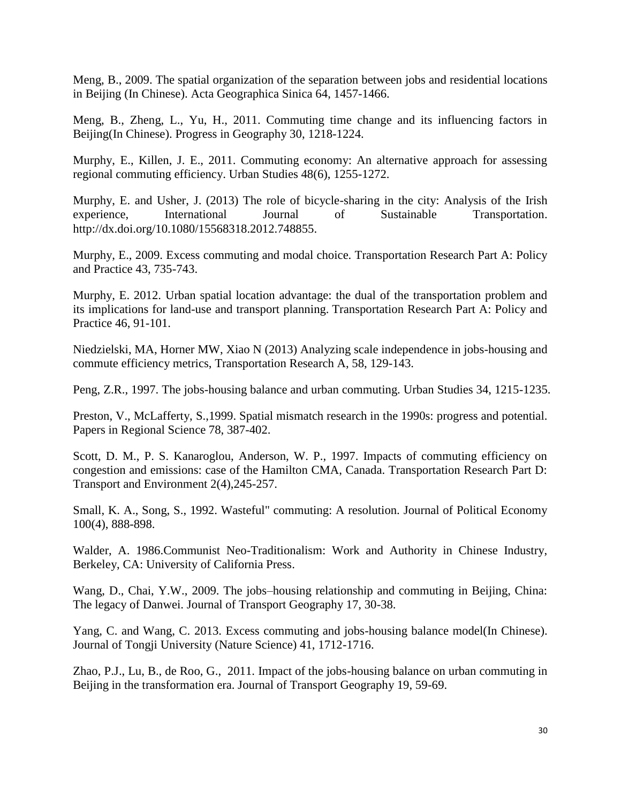Meng, B., 2009. The spatial organization of the separation between jobs and residential locations in Beijing (In Chinese). Acta Geographica Sinica 64, 1457-1466.

Meng, B., Zheng, L., Yu, H., 2011. Commuting time change and its influencing factors in Beijing(In Chinese). Progress in Geography 30, 1218-1224.

Murphy, E., Killen, J. E., 2011. Commuting economy: An alternative approach for assessing regional commuting efficiency. Urban Studies 48(6), 1255-1272.

Murphy, E. and Usher, J. (2013) The role of bicycle-sharing in the city: Analysis of the Irish experience, International Journal of Sustainable Transportation. http://dx.doi.org/10.1080/15568318.2012.748855.

Murphy, E., 2009. Excess commuting and modal choice. Transportation Research Part A: Policy and Practice 43, 735-743.

Murphy, E. 2012. Urban spatial location advantage: the dual of the transportation problem and its implications for land-use and transport planning. Transportation Research Part A: Policy and Practice 46, 91-101.

Niedzielski, MA, Horner MW, Xiao N (2013) Analyzing scale independence in jobs-housing and commute efficiency metrics, Transportation Research A, 58, 129-143.

Peng, Z.R., 1997. The jobs-housing balance and urban commuting. Urban Studies 34, 1215-1235.

Preston, V., McLafferty, S.,1999. Spatial mismatch research in the 1990s: progress and potential. Papers in Regional Science 78, 387-402.

Scott, D. M., P. S. Kanaroglou, Anderson, W. P., 1997. Impacts of commuting efficiency on congestion and emissions: case of the Hamilton CMA, Canada. Transportation Research Part D: Transport and Environment 2(4),245-257.

Small, K. A., Song, S., 1992. Wasteful" commuting: A resolution. Journal of Political Economy 100(4), 888-898.

Walder, A. 1986.Communist Neo-Traditionalism: Work and Authority in Chinese Industry, Berkeley, CA: University of California Press.

Wang, D., Chai, Y.W., 2009. The jobs–housing relationship and commuting in Beijing, China: The legacy of Danwei. Journal of Transport Geography 17, 30-38.

Yang, C. and Wang, C. 2013. Excess commuting and jobs-housing balance model(In Chinese). Journal of Tongji University (Nature Science) 41, 1712-1716.

Zhao, P.J., Lu, B., de Roo, G., 2011. Impact of the jobs-housing balance on urban commuting in Beijing in the transformation era. Journal of Transport Geography 19, 59-69.